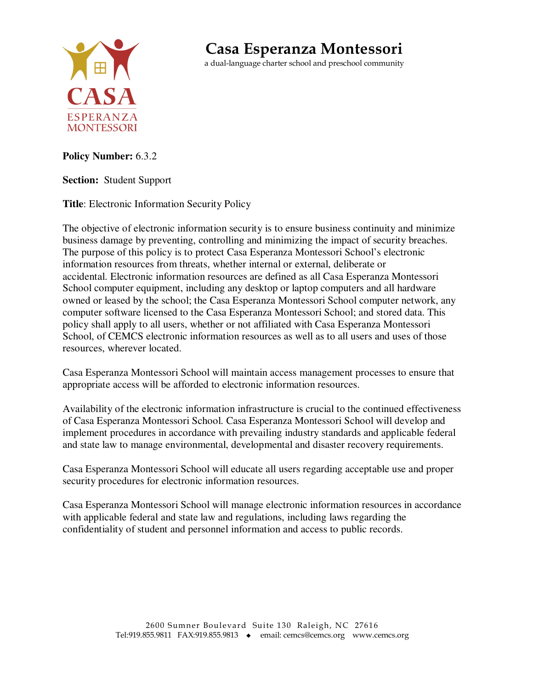

## **Casa Esperanza Montessori**

a dual-language charter school and preschool community

## **Policy Number:** 6.3.2

## **Section:** Student Support

**Title**: Electronic Information Security Policy

The objective of electronic information security is to ensure business continuity and minimize business damage by preventing, controlling and minimizing the impact of security breaches. The purpose of this policy is to protect Casa Esperanza Montessori School's electronic information resources from threats, whether internal or external, deliberate or accidental. Electronic information resources are defined as all Casa Esperanza Montessori School computer equipment, including any desktop or laptop computers and all hardware owned or leased by the school; the Casa Esperanza Montessori School computer network, any computer software licensed to the Casa Esperanza Montessori School; and stored data. This policy shall apply to all users, whether or not affiliated with Casa Esperanza Montessori School, of CEMCS electronic information resources as well as to all users and uses of those resources, wherever located.

Casa Esperanza Montessori School will maintain access management processes to ensure that appropriate access will be afforded to electronic information resources.

Availability of the electronic information infrastructure is crucial to the continued effectiveness of Casa Esperanza Montessori School. Casa Esperanza Montessori School will develop and implement procedures in accordance with prevailing industry standards and applicable federal and state law to manage environmental, developmental and disaster recovery requirements.

Casa Esperanza Montessori School will educate all users regarding acceptable use and proper security procedures for electronic information resources.

Casa Esperanza Montessori School will manage electronic information resources in accordance with applicable federal and state law and regulations, including laws regarding the confidentiality of student and personnel information and access to public records.